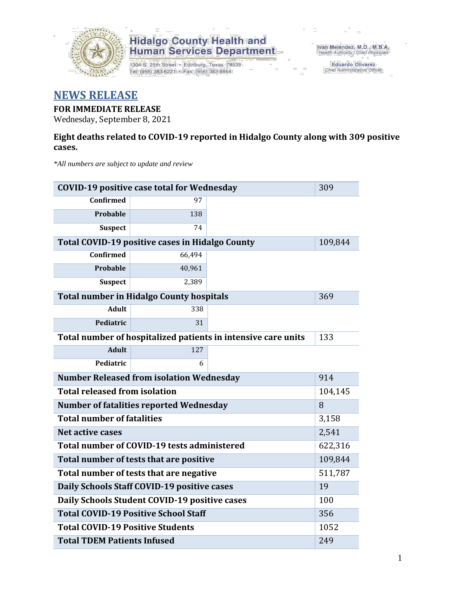

1304 S. 25th Street · Edinburg, Texas 78539 Tel: (956) 383-6221 · Fax: (956) 383-8864

Iván Meléndez, M.D., M.B.A.<br>Health Authority / Chief Physician

Eduardo Olivarez Chief Administrative Officer

#### **NEWS RELEASE**

#### **FOR IMMEDIATE RELEASE**

Wednesday, September 8, 2021

#### **Eight deaths related to COVID-19 reported in Hidalgo County along with 309 positive cases.**

*\*All numbers are subject to update and review*

| <b>COVID-19 positive case total for Wednesday</b>      |        |                                                               | 309     |  |  |  |
|--------------------------------------------------------|--------|---------------------------------------------------------------|---------|--|--|--|
| Confirmed                                              | 97     |                                                               |         |  |  |  |
| Probable                                               | 138    |                                                               |         |  |  |  |
| <b>Suspect</b>                                         | 74     |                                                               |         |  |  |  |
| <b>Total COVID-19 positive cases in Hidalgo County</b> |        |                                                               | 109,844 |  |  |  |
| Confirmed                                              | 66,494 |                                                               |         |  |  |  |
| Probable                                               | 40,961 |                                                               |         |  |  |  |
| <b>Suspect</b>                                         | 2,389  |                                                               |         |  |  |  |
| <b>Total number in Hidalgo County hospitals</b>        |        |                                                               | 369     |  |  |  |
| <b>Adult</b>                                           | 338    |                                                               |         |  |  |  |
| Pediatric                                              | 31     |                                                               |         |  |  |  |
|                                                        |        | Total number of hospitalized patients in intensive care units | 133     |  |  |  |
| <b>Adult</b>                                           | 127    |                                                               |         |  |  |  |
| Pediatric                                              | 6      |                                                               |         |  |  |  |
| <b>Number Released from isolation Wednesday</b>        | 914    |                                                               |         |  |  |  |
| <b>Total released from isolation</b><br>104,145        |        |                                                               |         |  |  |  |
| <b>Number of fatalities reported Wednesday</b>         | 8      |                                                               |         |  |  |  |
| <b>Total number of fatalities</b>                      | 3,158  |                                                               |         |  |  |  |
| Net active cases                                       |        |                                                               | 2,541   |  |  |  |
| Total number of COVID-19 tests administered            |        |                                                               | 622,316 |  |  |  |
| Total number of tests that are positive                |        |                                                               | 109,844 |  |  |  |
| Total number of tests that are negative                |        | 511,787                                                       |         |  |  |  |
| Daily Schools Staff COVID-19 positive cases            |        | 19                                                            |         |  |  |  |
| Daily Schools Student COVID-19 positive cases          |        | 100                                                           |         |  |  |  |
| <b>Total COVID-19 Positive School Staff</b>            | 356    |                                                               |         |  |  |  |
| <b>Total COVID-19 Positive Students</b>                |        | 1052                                                          |         |  |  |  |
| <b>Total TDEM Patients Infused</b>                     | 249    |                                                               |         |  |  |  |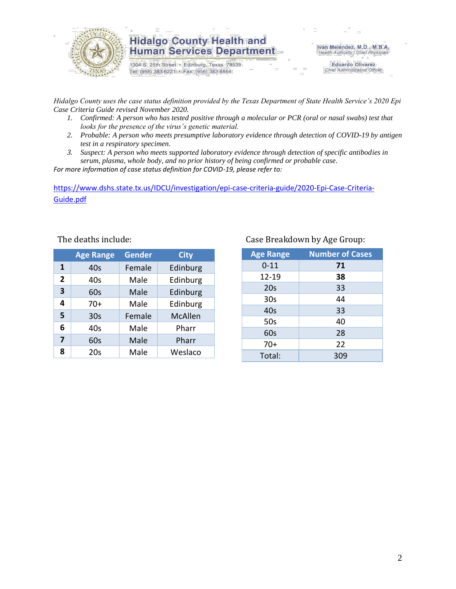

1304 S. 25th Street · Edinburg, Texas 78539 Tel: (956) 383-6221 · Fax: (956) 383-8864

Iván Meléndez, M.D., M.B.A. Health Authority / Chief Physician

> **Eduardo Olivarez** Chief Administrative Officer

*Hidalgo County uses the case status definition provided by the Texas Department of State Health Service's 2020 Epi Case Criteria Guide revised November 2020.*

- *1. Confirmed: A person who has tested positive through a molecular or PCR (oral or nasal swabs) test that looks for the presence of the virus's genetic material.*
- *2. Probable: A person who meets presumptive laboratory evidence through detection of COVID-19 by antigen test in a respiratory specimen.*
- *3. Suspect: A person who meets supported laboratory evidence through detection of specific antibodies in serum, plasma, whole body, and no prior history of being confirmed or probable case.*

*For more information of case status definition for COVID-19, please refer to:*

[https://www.dshs.state.tx.us/IDCU/investigation/epi-case-criteria-guide/2020-Epi-Case-Criteria-](https://www.dshs.state.tx.us/IDCU/investigation/epi-case-criteria-guide/2020-Epi-Case-Criteria-Guide.pdf)[Guide.pdf](https://www.dshs.state.tx.us/IDCU/investigation/epi-case-criteria-guide/2020-Epi-Case-Criteria-Guide.pdf)

|                | <b>Age Range</b> | Gender | <b>City</b>    |
|----------------|------------------|--------|----------------|
| 1              | 40s              | Female | Edinburg       |
| $\overline{2}$ | 40s              | Male   | Edinburg       |
| 3              | 60s              | Male   | Edinburg       |
| 4              | $70+$            | Male   | Edinburg       |
| 5              | 30 <sub>s</sub>  | Female | <b>McAllen</b> |
| 6              | 40s              | Male   | Pharr          |
| 7              | 60s              | Male   | Pharr          |
| 8              | 20s              | Male   | Weslaco        |

#### The deaths include: The deaths include: Case Breakdown by Age Group:

| <b>Age Range</b> | <b>Number of Cases</b> |
|------------------|------------------------|
| $0 - 11$         | 71                     |
| $12 - 19$        | 38                     |
| 20s              | 33                     |
| 30 <sub>s</sub>  | 44                     |
| 40s              | 33                     |
| 50s              | 40                     |
| 60s              | 28                     |
| $70+$            | 22                     |
| Total:           | 309                    |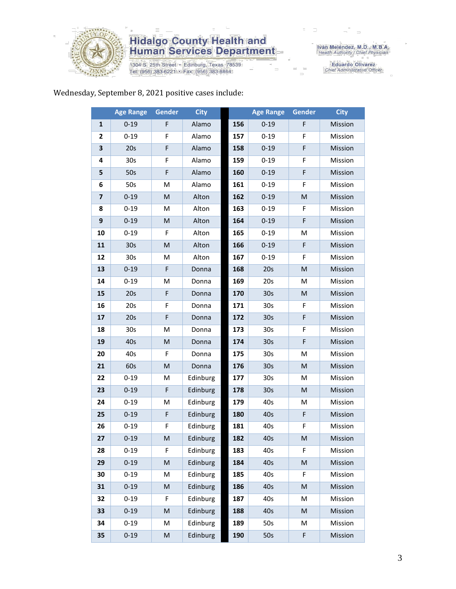

1304 S. 25th Street · Edinburg, Texas 78539 Tel: (956) 383-6221 · Fax: (956) 383-8864

Iván Meléndez, M.D., M.B.A.<br>Health Authority / Chief Physician

Eduardo Olivarez<br>Chief Administrative Officer

#### Wednesday, September 8, 2021 positive cases include:

|                         | <b>Age Range</b> | <b>Gender</b> | <b>City</b> |     | <b>Age Range</b> | Gender | <b>City</b> |
|-------------------------|------------------|---------------|-------------|-----|------------------|--------|-------------|
| 1                       | $0 - 19$         | F             | Alamo       | 156 | $0 - 19$         | F      | Mission     |
| $\mathbf{2}$            | $0 - 19$         | F             | Alamo       | 157 | $0 - 19$         | F      | Mission     |
| 3                       | 20s              | F             | Alamo       | 158 | $0 - 19$         | F      | Mission     |
| 4                       | 30s              | F             | Alamo       | 159 | $0 - 19$         | F      | Mission     |
| 5                       | 50s              | F             | Alamo       | 160 | $0 - 19$         | F      | Mission     |
| 6                       | 50s              | M             | Alamo       | 161 | $0 - 19$         | F      | Mission     |
| $\overline{\mathbf{z}}$ | $0 - 19$         | M             | Alton       | 162 | $0 - 19$         | M      | Mission     |
| 8                       | $0 - 19$         | M             | Alton       | 163 | $0 - 19$         | F      | Mission     |
| $\boldsymbol{9}$        | $0 - 19$         | M             | Alton       | 164 | $0 - 19$         | F      | Mission     |
| 10                      | $0 - 19$         | F             | Alton       | 165 | $0 - 19$         | M      | Mission     |
| 11                      | 30 <sub>s</sub>  | ${\sf M}$     | Alton       | 166 | $0 - 19$         | F      | Mission     |
| 12                      | 30 <sub>s</sub>  | M             | Alton       | 167 | $0 - 19$         | F      | Mission     |
| 13                      | $0 - 19$         | F             | Donna       | 168 | 20s              | M      | Mission     |
| 14                      | $0 - 19$         | M             | Donna       | 169 | 20s              | M      | Mission     |
| 15                      | 20s              | F             | Donna       | 170 | 30 <sub>s</sub>  | M      | Mission     |
| 16                      | 20s              | F             | Donna       | 171 | 30 <sub>s</sub>  | F      | Mission     |
| 17                      | 20s              | F             | Donna       | 172 | 30 <sub>s</sub>  | F      | Mission     |
| 18                      | 30 <sub>s</sub>  | M             | Donna       | 173 | 30 <sub>s</sub>  | F      | Mission     |
| 19                      | 40s              | M             | Donna       | 174 | 30 <sub>s</sub>  | F      | Mission     |
| 20                      | 40s              | F             | Donna       | 175 | 30 <sub>s</sub>  | M      | Mission     |
| 21                      | 60s              | ${\sf M}$     | Donna       | 176 | 30 <sub>s</sub>  | M      | Mission     |
| 22                      | $0 - 19$         | M             | Edinburg    | 177 | 30 <sub>s</sub>  | M      | Mission     |
| 23                      | $0 - 19$         | F             | Edinburg    | 178 | 30 <sub>s</sub>  | M      | Mission     |
| 24                      | $0 - 19$         | M             | Edinburg    | 179 | 40s              | M      | Mission     |
| 25                      | $0 - 19$         | F             | Edinburg    | 180 | 40s              | F      | Mission     |
| 26                      | $0 - 19$         | F             | Edinburg    | 181 | 40s              | F      | Mission     |
| 27                      | $0 - 19$         | M             | Edinburg    | 182 | 40s              | M      | Mission     |
| 28                      | $0 - 19$         | F             | Edinburg    | 183 | 40s              | F      | Mission     |
| 29                      | $0 - 19$         | ${\sf M}$     | Edinburg    | 184 | 40s              | M      | Mission     |
| 30                      | $0 - 19$         | M             | Edinburg    | 185 | 40s              | F      | Mission     |
| 31                      | $0 - 19$         | ${\sf M}$     | Edinburg    | 186 | 40s              | M      | Mission     |
| 32                      | $0 - 19$         | F             | Edinburg    | 187 | 40s              | M      | Mission     |
| 33                      | $0 - 19$         | M             | Edinburg    | 188 | 40s              | M      | Mission     |
| 34                      | $0 - 19$         | M             | Edinburg    | 189 | 50s              | M      | Mission     |
| 35                      | $0 - 19$         | ${\sf M}$     | Edinburg    | 190 | 50s              | F      | Mission     |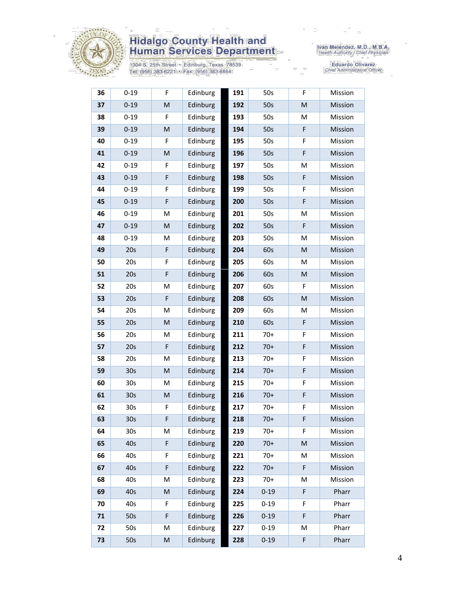

1304 S. 25th Street • Edinburg, Texas 78539<br>Tel: (956) 383-6221 • Fax: (956) 383-8864

Iván Meléndez, M.D., M.B.A.<br>Health Authority / Chief Physician

Eduardo Olivarez<br>Chief Administrative Officer

| 36 | $0 - 19$        | F | Edinburg | 191 | 50s      | F | Mission |
|----|-----------------|---|----------|-----|----------|---|---------|
| 37 | $0 - 19$        | M | Edinburg | 192 | 50s      | M | Mission |
| 38 | $0 - 19$        | F | Edinburg | 193 | 50s      | M | Mission |
| 39 | $0 - 19$        | M | Edinburg | 194 | 50s      | F | Mission |
| 40 | $0 - 19$        | F | Edinburg | 195 | 50s      | F | Mission |
| 41 | $0 - 19$        | M | Edinburg | 196 | 50s      | F | Mission |
| 42 | $0 - 19$        | F | Edinburg | 197 | 50s      | M | Mission |
| 43 | $0 - 19$        | F | Edinburg | 198 | 50s      | F | Mission |
| 44 | $0 - 19$        | F | Edinburg | 199 | 50s      | F | Mission |
| 45 | $0 - 19$        | F | Edinburg | 200 | 50s      | F | Mission |
| 46 | $0 - 19$        | M | Edinburg | 201 | 50s      | M | Mission |
| 47 | $0 - 19$        | M | Edinburg | 202 | 50s      | F | Mission |
| 48 | $0 - 19$        | M | Edinburg | 203 | 50s      | M | Mission |
| 49 | 20s             | F | Edinburg | 204 | 60s      | M | Mission |
| 50 | 20s             | F | Edinburg | 205 | 60s      | M | Mission |
| 51 | 20s             | F | Edinburg | 206 | 60s      | M | Mission |
| 52 | 20s             | M | Edinburg | 207 | 60s      | F | Mission |
| 53 | 20s             | F | Edinburg | 208 | 60s      | M | Mission |
| 54 | 20s             | M | Edinburg | 209 | 60s      | M | Mission |
| 55 | 20s             | M | Edinburg | 210 | 60s      | F | Mission |
| 56 | 20s             | М | Edinburg | 211 | $70+$    | F | Mission |
| 57 | 20s             | F | Edinburg | 212 | $70+$    | F | Mission |
| 58 | 20s             | M | Edinburg | 213 | $70+$    | F | Mission |
| 59 | 30 <sub>s</sub> | M | Edinburg | 214 | $70+$    | F | Mission |
| 60 | 30s             | M | Edinburg | 215 | $70+$    | F | Mission |
| 61 | 30 <sub>s</sub> | M | Edinburg | 216 | $70+$    | F | Mission |
| 62 | 30s             | F | Edinburg | 217 | $70+$    | F | Mission |
| 63 | 30 <sub>s</sub> | F | Edinburg | 218 | $70+$    | F | Mission |
| 64 | 30 <sub>s</sub> | М | Edinburg | 219 | $70+$    | F | Mission |
| 65 | 40s             | F | Edinburg | 220 | $70+$    | M | Mission |
| 66 | 40s             | F | Edinburg | 221 | $70+$    | M | Mission |
| 67 | 40s             | F | Edinburg | 222 | $70+$    | F | Mission |
| 68 | 40s             | M | Edinburg | 223 | $70+$    | M | Mission |
| 69 | 40s             | M | Edinburg | 224 | $0 - 19$ | F | Pharr   |
| 70 | 40s             | F | Edinburg | 225 | $0 - 19$ | F | Pharr   |
| 71 | 50s             | F | Edinburg | 226 | $0 - 19$ | F | Pharr   |
| 72 | 50s             | M | Edinburg | 227 | $0 - 19$ | M | Pharr   |
| 73 | 50s             | M | Edinburg | 228 | $0 - 19$ | F | Pharr   |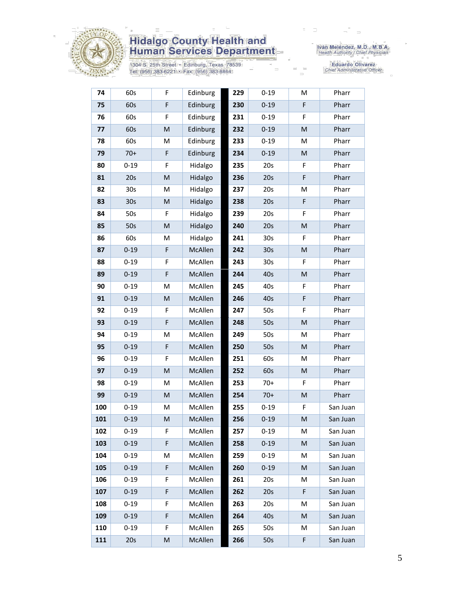

1304 S. 25th Street • Edinburg, Texas 78539<br>Tel: (956) 383-6221 • Fax: (956) 383-8864

Iván Meléndez, M.D., M.B.A.<br>Health Authority / Chief Physician

Eduardo Olivarez<br>Chief Administrative Officer

| 74  | 60s      | F           | Edinburg | 229 | $0 - 19$        | M | Pharr    |
|-----|----------|-------------|----------|-----|-----------------|---|----------|
| 75  | 60s      | F           | Edinburg | 230 | $0 - 19$        | F | Pharr    |
| 76  | 60s      | F           | Edinburg | 231 | $0 - 19$        | F | Pharr    |
| 77  | 60s      | M           | Edinburg | 232 | $0 - 19$        | M | Pharr    |
| 78  | 60s      | M           | Edinburg | 233 | $0 - 19$        | M | Pharr    |
| 79  | $70+$    | $\mathsf F$ | Edinburg | 234 | $0 - 19$        | M | Pharr    |
| 80  | $0 - 19$ | F           | Hidalgo  | 235 | 20s             | F | Pharr    |
| 81  | 20s      | M           | Hidalgo  | 236 | 20s             | F | Pharr    |
| 82  | 30s      | M           | Hidalgo  | 237 | 20s             | M | Pharr    |
| 83  | 30s      | M           | Hidalgo  | 238 | 20s             | F | Pharr    |
| 84  | 50s      | F           | Hidalgo  | 239 | 20s             | F | Pharr    |
| 85  | 50s      | M           | Hidalgo  | 240 | 20s             | M | Pharr    |
| 86  | 60s      | M           | Hidalgo  | 241 | 30 <sub>s</sub> | F | Pharr    |
| 87  | $0 - 19$ | F           | McAllen  | 242 | 30 <sub>s</sub> | M | Pharr    |
| 88  | $0 - 19$ | F           | McAllen  | 243 | 30 <sub>s</sub> | F | Pharr    |
| 89  | $0 - 19$ | F           | McAllen  | 244 | 40s             | M | Pharr    |
| 90  | $0 - 19$ | M           | McAllen  | 245 | 40s             | F | Pharr    |
| 91  | $0 - 19$ | M           | McAllen  | 246 | 40s             | F | Pharr    |
| 92  | $0 - 19$ | F           | McAllen  | 247 | 50s             | F | Pharr    |
| 93  | $0 - 19$ | $\mathsf F$ | McAllen  | 248 | 50s             | M | Pharr    |
| 94  | $0 - 19$ | Μ           | McAllen  | 249 | 50s             | М | Pharr    |
| 95  | $0 - 19$ | $\mathsf F$ | McAllen  | 250 | 50s             | M | Pharr    |
| 96  | $0 - 19$ | F           | McAllen  | 251 | 60s             | M | Pharr    |
| 97  | $0 - 19$ | M           | McAllen  | 252 | 60s             | M | Pharr    |
| 98  | $0 - 19$ | M           | McAllen  | 253 | $70+$           | F | Pharr    |
| 99  | $0 - 19$ | M           | McAllen  | 254 | $70+$           | M | Pharr    |
| 100 | $0 - 19$ | M           | McAllen  | 255 | $0 - 19$        | F | San Juan |
| 101 | $0 - 19$ | M           | McAllen  | 256 | $0 - 19$        | M | San Juan |
| 102 | $0 - 19$ | F.          | McAllen  | 257 | $0 - 19$        | М | San Juan |
| 103 | $0 - 19$ | F           | McAllen  | 258 | $0 - 19$        | M | San Juan |
| 104 | $0 - 19$ | Μ           | McAllen  | 259 | $0 - 19$        | М | San Juan |
| 105 | $0 - 19$ | F           | McAllen  | 260 | $0 - 19$        | M | San Juan |
| 106 | $0 - 19$ | F           | McAllen  | 261 | 20s             | М | San Juan |
| 107 | $0 - 19$ | F           | McAllen  | 262 | 20s             | F | San Juan |
| 108 | $0 - 19$ | F           | McAllen  | 263 | 20s             | М | San Juan |
| 109 | $0 - 19$ | F           | McAllen  | 264 | 40s             | M | San Juan |
| 110 | $0 - 19$ | F           | McAllen  | 265 | 50s             | M | San Juan |
| 111 | 20s      | M           | McAllen  | 266 | 50s             | F | San Juan |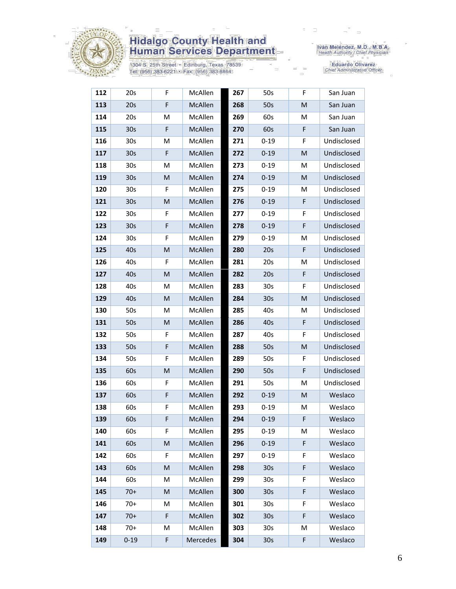

1304 S. 25th Street · Edinburg, Texas 78539 Tel: (956) 383-6221 • Fax: (956) 383-8864

Iván Meléndez, M.D., M.B.A.<br>Health Authority / Chief Physician

Eduardo Olivarez<br>Chief Administrative Officer

| 112 | 20s             | F | McAllen  | 267 | 50s             | F  | San Juan    |
|-----|-----------------|---|----------|-----|-----------------|----|-------------|
| 113 | 20s             | F | McAllen  | 268 | 50s             | M  | San Juan    |
| 114 | 20s             | M | McAllen  | 269 | 60s             | M  | San Juan    |
| 115 | 30 <sub>s</sub> | F | McAllen  | 270 | 60s             | F  | San Juan    |
| 116 | 30 <sub>s</sub> | M | McAllen  | 271 | $0 - 19$        | F  | Undisclosed |
| 117 | 30 <sub>s</sub> | F | McAllen  | 272 | $0 - 19$        | M  | Undisclosed |
| 118 | 30s             | М | McAllen  | 273 | $0 - 19$        | м  | Undisclosed |
| 119 | 30 <sub>s</sub> | M | McAllen  | 274 | $0 - 19$        | M  | Undisclosed |
| 120 | 30 <sub>s</sub> | F | McAllen  | 275 | $0 - 19$        | м  | Undisclosed |
| 121 | 30 <sub>s</sub> | M | McAllen  | 276 | $0 - 19$        | F  | Undisclosed |
| 122 | 30 <sub>s</sub> | F | McAllen  | 277 | $0 - 19$        | F  | Undisclosed |
| 123 | 30 <sub>s</sub> | F | McAllen  | 278 | $0 - 19$        | F  | Undisclosed |
| 124 | 30s             | F | McAllen  | 279 | $0 - 19$        | M  | Undisclosed |
| 125 | 40s             | M | McAllen  | 280 | 20s             | F  | Undisclosed |
| 126 | 40s             | F | McAllen  | 281 | 20s             | Μ  | Undisclosed |
| 127 | 40s             | M | McAllen  | 282 | 20s             | F  | Undisclosed |
| 128 | 40s             | M | McAllen  | 283 | 30 <sub>s</sub> | F  | Undisclosed |
| 129 | 40s             | M | McAllen  | 284 | 30 <sub>s</sub> | M  | Undisclosed |
| 130 | 50s             | M | McAllen  | 285 | 40s             | м  | Undisclosed |
| 131 | 50s             | M | McAllen  | 286 | 40s             | F  | Undisclosed |
| 132 | 50s             | F | McAllen  | 287 | 40s             | F  | Undisclosed |
| 133 | 50s             | F | McAllen  | 288 | 50s             | M  | Undisclosed |
| 134 | 50s             | F | McAllen  | 289 | 50s             | F  | Undisclosed |
| 135 | 60s             | M | McAllen  | 290 | 50s             | F  | Undisclosed |
| 136 | 60s             | F | McAllen  | 291 | 50s             | Μ  | Undisclosed |
| 137 | 60s             | F | McAllen  | 292 | $0 - 19$        | M  | Weslaco     |
| 138 | 60s             | F | McAllen  | 293 | $0 - 19$        | Μ  | Weslaco     |
| 139 | 60s             | F | McAllen  | 294 | $0 - 19$        | F  | Weslaco     |
| 140 | 60s             | F | McAllen  | 295 | $0 - 19$        | М  | Weslaco     |
| 141 | 60s             | M | McAllen  | 296 | $0 - 19$        | F  | Weslaco     |
| 142 | 60s             | F | McAllen  | 297 | $0 - 19$        | F  | Weslaco     |
| 143 | 60s             | M | McAllen  | 298 | 30 <sub>s</sub> | F  | Weslaco     |
| 144 | 60s             | М | McAllen  | 299 | 30 <sub>s</sub> | F  | Weslaco     |
| 145 | $70+$           | M | McAllen  | 300 | 30 <sub>s</sub> | F  | Weslaco     |
| 146 | $70+$           | M | McAllen  | 301 | 30 <sub>s</sub> | F. | Weslaco     |
| 147 | $70+$           | F | McAllen  | 302 | 30 <sub>s</sub> | F  | Weslaco     |
| 148 | $70+$           | M | McAllen  | 303 | 30 <sub>s</sub> | M  | Weslaco     |
| 149 | $0 - 19$        | F | Mercedes | 304 | 30 <sub>s</sub> | F  | Weslaco     |